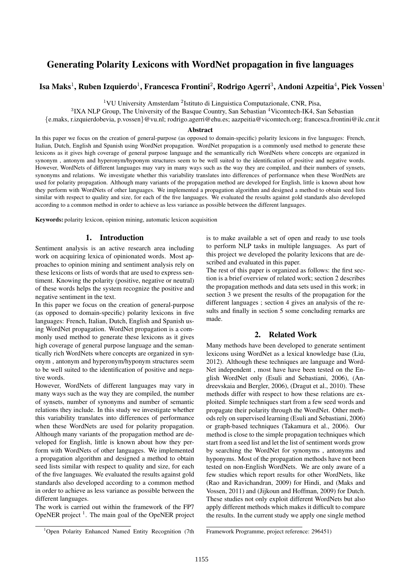# Generating Polarity Lexicons with WordNet propagation in five languages

## Isa Maks<sup>1</sup>, Ruben Izquierdo<sup>1</sup>, Francesca Frontini<sup>2</sup>, Rodrigo Agerri<sup>3</sup>, Andoni Azpeitia<sup>4</sup>, Piek Vossen<sup>1</sup>

<sup>1</sup>VU University Amsterdam<sup>2</sup>Istituto di Linguistica Computazionale, CNR, Pisa,

 ${}^{3}$ IXA NLP Group, The University of the Basque Country, San Sebastian  ${}^{4}$ Vicomtech-IK4, San Sebastian

{e.maks, r.izquierdobevia, p.vossen}@vu.nl; rodrigo.agerri@ehu.es; aazpeitia@vicomtech.org; francesca.frontini@ilc.cnr.it

#### Abstract

In this paper we focus on the creation of general-purpose (as opposed to domain-specific) polarity lexicons in five languages: French, Italian, Dutch, English and Spanish using WordNet propagation. WordNet propagation is a commonly used method to generate these lexicons as it gives high coverage of general purpose language and the semantically rich WordNets where concepts are organized in synonym , antonym and hyperonym/hyponym structures seem to be well suited to the identification of positive and negative words. However, WordNets of different languages may vary in many ways such as the way they are compiled, and their numbers of synsets, synonyms and relations. We investigate whether this variability translates into differences of performance when these WordNets are used for polarity propagation. Although many variants of the propagation method are developed for English, little is known about how they perform with WordNets of other languages. We implemented a propagation algorithm and designed a method to obtain seed lists similar with respect to quality and size, for each of the five languages. We evaluated the results against gold standards also developed according to a common method in order to achieve as less variance as possible between the different languages.

Keywords: polarity lexicon, opinion mining, automatic lexicon acquisition

#### 1. Introduction

Sentiment analysis is an active research area including work on acquiring lexica of opinionated words. Most approaches to opinion mining and sentiment analysis rely on these lexicons or lists of words that are used to express sentiment. Knowing the polarity (positive, negative or neutral) of these words helps the system recognize the positive and negative sentiment in the text.

In this paper we focus on the creation of general-purpose (as opposed to domain-specific) polarity lexicons in five languages: French, Italian, Dutch, English and Spanish using WordNet propagation. WordNet propagation is a commonly used method to generate these lexicons as it gives high coverage of general purpose language and the semantically rich WordNets where concepts are organized in synonym , antonym and hyperonym/hyponym structures seem to be well suited to the identification of positive and negative words.

However, WordNets of different languages may vary in many ways such as the way they are compiled, the number of synsets, number of synonyms and number of semantic relations they include. In this study we investigate whether this variability translates into differences of performance when these WordNets are used for polarity propagation. Although many variants of the propagation method are developed for English, little is known about how they perform with WordNets of other languages. We implemented a propagation algorithm and designed a method to obtain seed lists similar with respect to quality and size, for each of the five languages. We evaluated the results against gold standards also developed according to a common method in order to achieve as less variance as possible between the different languages.

The work is carried out within the framework of the FP7 OpeNER project<sup>1</sup>. The main goal of the OpeNER project

is to make available a set of open and ready to use tools to perform NLP tasks in multiple languages. As part of this project we developed the polarity lexicons that are described and evaluated in this paper.

The rest of this paper is organized as follows: the first section is a brief overview of related work; section 2 describes the propagation methods and data sets used in this work; in section 3 we present the results of the propagation for the different languages ; section 4 gives an analysis of the results and finally in section 5 some concluding remarks are made.

#### 2. Related Work

Many methods have been developed to generate sentiment lexicons using WordNet as a lexical knowledge base (Liu, 2012). Although these techniques are language and Word-Net independent , most have have been tested on the English WordNet only (Esuli and Sebastiani, 2006), (Andreevskaia and Bergler, 2006), (Dragut et al., 2010). These methods differ with respect to how these relations are exploited. Simple techniques start from a few seed words and propagate their polarity through the WordNet. Other methods rely on supervised learning (Esuli and Sebastiani, 2006) or graph-based techniques (Takamura et al., 2006). Our method is close to the simple propagation techniques which start from a seed list and let the list of sentiment words grow by searching the WordNet for synonyms , antonyms and hyponyms. Most of the propagation methods have not been tested on non-English WordNets. We are only aware of a few studies which report results for other WordNets, like (Rao and Ravichandran, 2009) for Hindi, and (Maks and Vossen, 2011) and (Jijkoun and Hoffman, 2009) for Dutch. These studies not only exploit different WordNets but also apply different methods which makes it difficult to compare the results. In the current study we apply one single method

<sup>&</sup>lt;sup>1</sup>Open Polarity Enhanced Named Entity Recognition (7th

Framework Programme, project reference: 296451)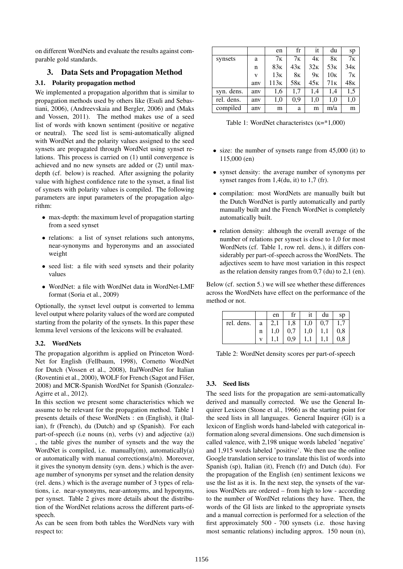on different WordNets and evaluate the results against comparable gold standards.

## 3. Data Sets and Propagation Method

## 3.1. Polarity propagation method

We implemented a propagation algorithm that is similar to propagation methods used by others like (Esuli and Sebastiani, 2006), (Andreevskaia and Bergler, 2006) and (Maks and Vossen, 2011). The method makes use of a seed list of words with known sentiment (positive or negative or neutral). The seed list is semi-automatically aligned with WordNet and the polarity values assigned to the seed synsets are propagated through WordNet using synset relations. This process is carried on (1) until convergence is achieved and no new synsets are added or (2) until maxdepth (cf. below) is reached. After assigning the polarity value with highest confidence rate to the synset, a final list of synsets with polarity values is compiled. The following parameters are input parameters of the propagation algorithm:

- max-depth: the maximum level of propagation starting from a seed synset
- relations: a list of synset relations such antonyms, near-synonyms and hyperonyms and an associated weight
- seed list: a file with seed synsets and their polarity values
- WordNet: a file with WordNet data in WordNet-LMF format (Soria et al., 2009)

Optionally, the synset level output is converted to lemma level output where polarity values of the word are computed starting from the polarity of the synsets. In this paper these lemma level versions of the lexicons will be evaluated.

## 3.2. WordNets

The propagation algorithm is applied on Princeton Word-Net for English (Fellbaum, 1998), Cornetto WordNet for Dutch (Vossen et al., 2008), ItalWordNet for Italian (Roventini et al., 2000), WOLF for French (Sagot and Fišer, 2008) and MCR-Spanish WordNet for Spanish (Gonzalez-Agirre et al., 2012).

In this section we present some characteristics which we assume to be relevant for the propagation method. Table 1 presents details of these WordNets : en (English), it (Italian), fr (French), du (Dutch) and sp (Spanish). For each part-of-speech (i.e nouns (n), verbs (v) and adjective (a)) , the table gives the number of synsets and the way the WordNet is compiled, i.e. manually $(m)$ , automatically $(a)$ or automatically with manual corrections(a/m). Moreover, it gives the synonym density (syn. dens.) which is the average number of synonyms per synset and the relation density (rel. dens.) which is the average number of 3 types of relations, i.e. near-synonyms, near-antonyms, and hyponyms, per synset. Table 2 gives more details about the distribution of the WordNet relations across the different parts-ofspeech.

As can be seen from both tables the WordNets vary with respect to:

|            |     | en               | fr              | it              | du              | sp              |
|------------|-----|------------------|-----------------|-----------------|-----------------|-----------------|
| synsets    | a   | 7 <sub>K</sub>   | 7 <sub>K</sub>  | 4 <sub>K</sub>  | 8ĸ              | 7 <sub>K</sub>  |
|            | n   | 83к              | 43 <sub>K</sub> | 32 <sub>K</sub> | 53 <sub>K</sub> | 34 <sub>K</sub> |
|            | V   | 13 <sub>K</sub>  | 8к              | 9 <sub>K</sub>  | 10K             | 7 <sub>K</sub>  |
|            | any | 113 <sub>K</sub> | 58 <sub>K</sub> | 45k             | 71 <sub>K</sub> | 48 <sub>K</sub> |
| syn. dens. | any | 1,6              | 1,7             | 1,4             | 1,4             | 1,5             |
| rel. dens. | any | 1,0              | 0,9             | 1,0             | 1.0             | 1,0             |
| compiled   | anv | m                | a               | m               | m/a             | m               |

Table 1: WordNet characteristcs  $(K = 1,000)$ 

- size: the number of synsets range from 45,000 (it) to 115,000 (en)
- synset density: the average number of synonyms per synset ranges from 1,4(du, it) to 1,7 (fr).
- compilation: most WordNets are manually built but the Dutch WordNet is partly automatically and partly manually built and the French WordNet is completely automatically built.
- relation density: although the overall average of the number of relations per synset is close to 1,0 for most WordNets (cf. Table 1, row rel. dens.), it differs considerably per part-of-speech across the WordNets. The adjectives seem to have most variation in this respect as the relation density ranges from 0,7 (du) to 2,1 (en).

Below (cf. section 5.) we will see whether these differences across the WordNets have effect on the performance of the method or not.

|            |   | en       | fr  | 1t       | du  | sp           |
|------------|---|----------|-----|----------|-----|--------------|
| rel. dens. | a |          | 1,8 | $_{1,0}$ | 0,7 |              |
|            | n | $_{1,0}$ | 0,7 | $_{1,0}$ |     | $_{\rm 0,8}$ |
|            |   |          | 0,9 |          |     | $_{0,8}$     |

Table 2: WordNet density scores per part-of-speech

## 3.3. Seed lists

The seed lists for the propagation are semi-automatically derived and manually corrected. We use the General Inquirer Lexicon (Stone et al., 1966) as the starting point for the seed lists in all languages. General Inquirer (GI) is a lexicon of English words hand-labeled with categorical information along several dimensions. One such dimension is called valence, with 2,198 unique words labeled 'negative' and 1,915 words labeled 'positive'. We then use the online Google translation service to translate this list of words into Spanish (sp), Italian (it), French (fr) and Dutch (du). For the propagation of the English (en) sentiment lexicons we use the list as it is. In the next step, the synsets of the various WordNets are ordered – from high to low - according to the number of WordNet relations they have. Then, the words of the GI lists are linked to the appropriate synsets and a manual correction is performed for a selection of the first approximately 500 - 700 synsets (i.e. those having most semantic relations) including approx. 150 noun (n),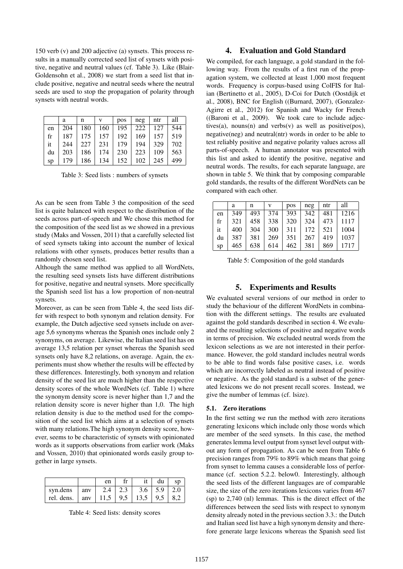150 verb (v) and 200 adjective (a) synsets. This process results in a manually corrected seed list of synsets with positive, negative and neutral values (cf. Table 3). Like (Blair-Goldensohn et al., 2008) we start from a seed list that include positive, negative and neutral seeds where the neutral seeds are used to stop the propagation of polarity through synsets with neutral words.

|    | a   | n   | v   | pos | neg | ntr | all |
|----|-----|-----|-----|-----|-----|-----|-----|
| en | 204 | 180 | 160 | 195 | 222 | 127 | 544 |
| fr | 187 | 175 | 157 | 192 | 169 | 157 | 519 |
| it | 244 | 227 | 231 | 179 | 194 | 329 | 702 |
| du | 203 | 186 | 174 | 230 | 223 | 109 | 563 |
| sp | 179 | 186 | 134 | 152 | 102 | 245 | 499 |

Table 3: Seed lists : numbers of synsets

As can be seen from Table 3 the composition of the seed list is quite balanced with respect to the distribution of the seeds across part-of-speech and We chose this method for the composition of the seed list as we showed in a previous study (Maks and Vossen, 2011) that a carefully selected list of seed synsets taking into account the number of lexical relations with other synsets, produces better results than a randomly chosen seed list.

Although the same method was applied to all WordNets, the resulting seed synsets lists have different distributions for positive, negative and neutral synsets. More specifically the Spanish seed list has a low proportion of non-neutral synsets.

Moreover, as can be seen from Table 4, the seed lists differ with respect to both synonym and relation density. For example, the Dutch adjective seed synsets include on average 5,6 synonyms whereas the Spanish ones include only 2 synonyms, on average. Likewise, the Italian seed list has on average 13,5 relation per synset whereas the Spanish seed synsets only have 8,2 relations, on average. Again, the experiments must show whether the results will be effected by these differences. Interestingly, both synonym and relation density of the seed list are much higher than the respective density scores of the whole WordNets (cf. Table 1) where the synonym density score is never higher than 1,7 and the relation density score is never higher than 1,0. The high relation density is due to the method used for the composition of the seed list which aims at a selection of synsets with many relations.The high synonym density score, however, seems to be characteristic of synsets with opinionated words as it supports observations from earlier work (Maks and Vossen, 2010) that opinionated words easily group together in large synsets.

|                                                  |     | en            | it l | du                | <b>SD</b> |
|--------------------------------------------------|-----|---------------|------|-------------------|-----------|
| syn.dens                                         | anv | $2.4 \pm 2.3$ |      | $3.6$   5.9   2.0 |           |
| rel. dens.   anv   11,5   9,5   13,5   9,5   8,2 |     |               |      |                   |           |

Table 4: Seed lists: density scores

#### 4. Evaluation and Gold Standard

We compiled, for each language, a gold standard in the following way. From the results of a first run of the propagation system, we collected at least 1,000 most frequent words. Frequency is corpus-based using ColFIS for Italian (Bertinetto et al., 2005), D-Coi for Dutch (Oostdijk et al., 2008), BNC for English ((Burnard, 2007), (Gonzalez-Agirre et al., 2012) for Spanish and Wacky for French ((Baroni et al., 2009). We took care to include adjectives(a), nouns(n) and verbs(v) as well as positive(pos), negative(neg) and neutral(ntr) words in order to be able to test reliably positive and negative polarity values across all parts-of-speech. A human annotator was presented with this list and asked to identify the positive, negative and neutral words. The results, for each separate language, are shown in table 5. We think that by composing comparable gold standards, the results of the different WordNets can be compared with each other.

|    | а   | n   | v   | pos | neg | ntr | all  |
|----|-----|-----|-----|-----|-----|-----|------|
| en | 349 | 493 | 374 | 393 | 342 | 481 | 1216 |
| fr | 321 | 458 | 338 | 320 | 324 | 473 | 1117 |
| it | 400 | 304 | 300 | 311 | 172 | 521 | 1004 |
| du | 387 | 381 | 269 | 351 | 267 | 419 | 1037 |
| sp | 465 | 638 | 614 | 462 | 381 | 869 | 1717 |

Table 5: Composition of the gold standards

## 5. Experiments and Results

We evaluated several versions of our method in order to study the behaviour of the different WordNets in combination with the different settings. The results are evaluated against the gold standards described in section 4. We evaluated the resulting selections of positive and negative words in terms of precision. We excluded neutral words from the lexicon selections as we are not interested in their performance. However, the gold standard includes neutral words to be able to find words false positive cases, i.e. words which are incorrectly labeled as neutral instead of positive or negative. As the gold standard is a subset of the generated lexicons we do not present recall scores. Instead, we give the number of lemmas (cf. lsize).

#### 5.1. Zero iterations

In the first setting we run the method with zero iterations generating lexicons which include only those words which are member of the seed synsets. In this case, the method generates lemma level output from synset level output without any form of propagation. As can be seen from Table 6 precision ranges from 79% to 89% which means that going from synset to lemma causes a considerable loss of performance (cf. section 5.2.2. below0. Interestingly, although the seed lists of the different languages are of comparable size, the size of the zero iterations lexicons varies from 467 (sp) to 2,740 (nl) lemmas. This is the direct effect of the differences between the seed lists with respect to synonym density already noted in the previous section 3.3.: the Dutch and Italian seed list have a high synonym density and therefore generate large lexicons whereas the Spanish seed list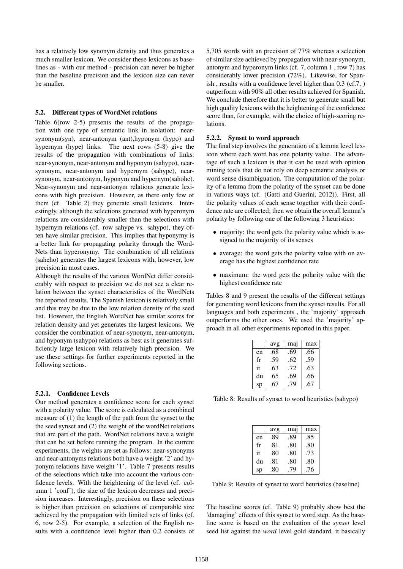has a relatively low synonym density and thus generates a much smaller lexicon. We consider these lexicons as baselines as - with our method - precision can never be higher than the baseline precision and the lexicon size can never be smaller.

#### 5.2. Different types of WordNet relations

Table 6(row 2-5) presents the results of the propagation with one type of semantic link in isolation: nearsynonym(syn), near-antonym (ant),hyponym (hypo) and hypernym (hype) links. The next rows (5-8) give the results of the propagation with combinations of links: near-synonym, near-antonym and hyponym (sahypo), nearsynonym, near-antonym and hypernym (sahype), nearsynonym, near-antonym, hyponym and hypernym(sahohe). Near-synonym and near-antonym relations generate lexicons with high precision. However, as there only few of them (cf. Table 2) they generate small lexicons. Interestingly, although the selections generated with hyperonym relations are considerably smaller than the selections with hypernym relations (cf. row sahype vs. sahypo), they often have similar precision. This implies that hyponymy is a better link for propagating polarity through the Word-Nets than hyperonymy. The combination of all relations (saheho) generates the largest lexicons with, however, low precision in most cases.

Although the results of the various WordNet differ considerably with respect to precision we do not see a clear relation between the synset characteristics of the WordNets the reported results. The Spanish lexicon is relatively small and this may be due to the low relation density of the seed list. However, the English WordNet has similar scores for relation density and yet generates the largest lexicons. We consider the combination of near-synonym, near-antonym, and hyponym (sahypo) relations as best as it generates sufficiently large lexicon with relatively high precision. We use these settings for further experiments reported in the following sections.

#### 5.2.1. Confidence Levels

Our method generates a confidence score for each synset with a polarity value. The score is calculated as a combined measure of (1) the length of the path from the synset to the the seed synset and (2) the weight of the wordNet relations that are part of the path. WordNet relations have a weight that can be set before running the program. In the current experiments, the weights are set as follows: near-synonyms and near-antonyms relations both have a weight '2' and hyponym relations have weight '1'. Table 7 presents results of the selections which take into account the various confidence levels. With the heightening of the level (cf. column 1 'conf'), the size of the lexicon decreases and precision increases. Interestingly, precision on these selections is higher than precision on selections of comparable size achieved by the propagation with limited sets of links (cf. 6, row 2-5). For example, a selection of the English results with a confidence level higher than 0.2 consists of 5,705 words with an precision of 77% whereas a selection of similar size achieved by propagation with near-synonym, antonym and hyperonym links (cf. 7, column 1 , row 7) has considerably lower precision (72%). Likewise, for Spanish , results with a confidence level higher than 0.3 (cf.7, ) outperform with 90% all other results achieved for Spanish. We conclude therefore that it is better to generate small but high quality lexicons with the heightening of the confidence score than, for example, with the choice of high-scoring relations.

#### 5.2.2. Synset to word approach

The final step involves the generation of a lemma level lexicon where each word has one polarity value. The advantage of such a lexicon is that it can be used with opinion mining tools that do not rely on deep semantic analysis or word sense disambiguation. The computation of the polarity of a lemma from the polarity of the synset can be done in various ways (cf. (Gatti and Guerini, 2012)). First, all the polarity values of each sense together with their confidence rate are collected; then we obtain the overall lemma's polarity by following one of the following 3 heuristics:

- majority: the word gets the polarity value which is assigned to the majority of its senses
- average: the word gets the polarity value with on average has the highest confidence rate
- maximum: the word gets the polarity value with the highest confidence rate

Tables 8 and 9 present the results of the different settings for generating word lexicons from the synset results. For all languages and both experiments , the 'majority' approach outperforms the other ones. We used the 'majority' approach in all other experiments reported in this paper.

|    | avg | maj | max |
|----|-----|-----|-----|
| en | .68 | .69 | .66 |
| fr | .59 | .62 | .59 |
| it | .63 | .72 | .63 |
| du | .65 | .69 | .66 |
| sp | .67 | .79 | .67 |

Table 8: Results of synset to word heuristics (sahypo)

|    | avg | ma <sub>1</sub> | max |
|----|-----|-----------------|-----|
| en | .89 | .89             | .85 |
| fr | .81 | .80             | .80 |
| it | .80 | .80             | .73 |
| du | .81 | .80             | .80 |
| sp | .80 | .79             | .76 |

Table 9: Results of synset to word heuristics (baseline)

The baseline scores (cf. Table 9) probably show best the 'damaging' effects of this synset to word step. As the baseline score is based on the evaluation of the *synset* level seed list against the *word* level gold standard, it basically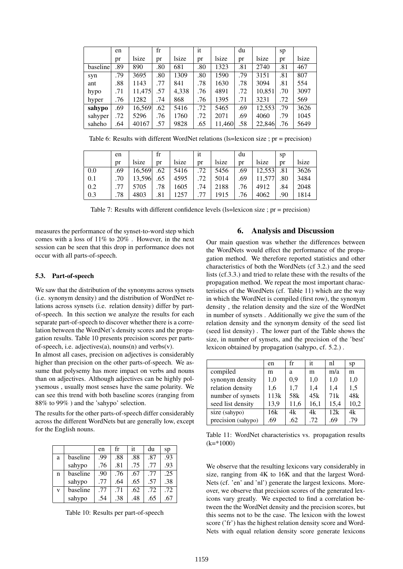|          | en  |        | $_{\rm fr}$ |             | it  |        | du  |        | sp  |             |
|----------|-----|--------|-------------|-------------|-----|--------|-----|--------|-----|-------------|
|          | pr  | lsize  | pr          | <i>size</i> | pr  | lsize  | pr  | lsize  | pr  | <i>size</i> |
| baseline | .89 | 890    | .80         | 681         | .80 | 1323   | .81 | 2740   | .81 | 467         |
| syn      | .79 | 3695   | .80         | 1309        | .80 | 1590   | .79 | 3151   | .81 | 807         |
| ant      | .88 | 1143   | .77         | 841         | .78 | 1630   | .78 | 3094   | .81 | 554         |
| hypo     | .71 | 11,475 | .57         | 4,338       | .76 | 4891   | .72 | 10,851 | .70 | 3097        |
| hyper    | .76 | 1282   | .74         | 868         | .76 | 1395   | .71 | 3231   | .72 | 569         |
| sahypo   | .69 | 16,569 | .62         | 5416        | .72 | 5465   | .69 | 12,553 | .79 | 3626        |
| sahyper  | .72 | 5296   | .76         | 1760        | .72 | 2071   | .69 | 4060   | .79 | 1045        |
| saheho   | .64 | 40167  | .57         | 9828        | .65 | 11,460 | .58 | 22,846 | .76 | 5649        |

Table 6: Results with different WordNet relations (ls=lexicon size ; pr = precision)

|     | en  |        | fr  |       | 1t  |       | du  |        | sp  |       |
|-----|-----|--------|-----|-------|-----|-------|-----|--------|-----|-------|
|     | pr  | lsize  | pr  | lsize | pr  | lsize | pr  | lsize  | pr  | lsize |
| 0.0 | .69 | 16.569 | .62 | 5416  | .72 | 5456  | .69 | 12,553 | .81 | 3626  |
| 0.1 | .70 | 13.596 | .65 | 4595  | .72 | 5014  | .69 | 11.577 | .80 | 3484  |
| 0.2 | .77 | 5705   | .78 | 1605  | .74 | 2188  | .76 | 4912   | .84 | 2048  |
| 0.3 | .78 | 4803   | .81 | 1257  | .77 | 1915  | .76 | 4062   | .90 | 1814  |

Table 7: Results with different confidence levels (ls=lexicon size ; pr = precision)

measures the performance of the synset-to-word step which comes with a loss of 11% to 20% . However, in the next session can be seen that this drop in performance does not occur with all parts-of-speech.

## 5.3. Part-of-speech

We saw that the distribution of the synonyms across synsets (i.e. synonym density) and the distribution of WordNet relations across synsets (i.e. relation density) differ by partof-speech. In this section we analyze the results for each separate part-of-speech to discover whether there is a correlation between the WordNet's density scores and the propagation results. Table 10 presents precision scores per partsof-speech, i.e. adjectives(a), nouns(n) and verbs(v).

In almost all cases, precision on adjectives is considerably higher than precision on the other parts-of-speech. We assume that polysemy has more impact on verbs and nouns than on adjectives. Although adjectives can be highly polysemous , usually most senses have the same polarity. We can see this trend with both baseline scores (ranging from 88% to 99% ) and the 'sahypo' selection.

The results for the other parts-of-speech differ considerably across the different WordNets but are generally low, except for the English nouns.

|   |          | en  | fr  | it  | du  | sp  |
|---|----------|-----|-----|-----|-----|-----|
| a | baseline | .99 | .88 | .88 | .87 | .93 |
|   | sahypo   | .76 | .81 | .75 | .77 | .93 |
| n | baseline | .90 | .76 | .67 | .77 | .25 |
|   | sahypo   | .77 | .64 | .65 | .57 | .38 |
| V | baseline | .77 | .71 | .62 | .72 | .72 |
|   | sahypo   | .54 | .38 | .48 | .65 | .67 |

Table 10: Results per part-of-speech

## 6. Analysis and Discussion

Our main question was whether the differences between the WordNets would effect the performance of the propagation method. We therefore reported statistics and other characteristics of both the WordNets (cf 3.2.) and the seed lists (cf.3.3.) and tried to relate these with the results of the propagation method. We repeat the most important characteristics of the WordNets (cf. Table 11) which are the way in which the WordNet is compiled (first row), the synonym density , the relation density and the size of the WordNet in number of synsets . Additionally we give the sum of the relation density and the synonym density of the seed list (seed list density) . The lower part of the Table shows the size, in number of synsets, and the precision of the 'best' lexicon obtained by propagation (sahypo, cf. 5.2.) .

|                    | en   | $_{\rm fr}$     | it   | nl   | sp   |
|--------------------|------|-----------------|------|------|------|
| compiled           | m    | a               | m    | m/a  | m    |
| synonym density    | 1.0  | 0.9             | 1,0  | 1,0  | 1,0  |
| relation density   | 1,6  | 1,7             | 1,4  | 1,4  | 1,5  |
| number of synsets  | 113k | 58 <sub>k</sub> | 45k  | 71k  | 48k  |
| seed list density  | 13,9 | 11,6            | 16,1 | 15,4 | 10,2 |
| size (sahypo)      | 16k  | 4k              | 4k   | 12k  | 4k   |
| precision (sahypo) | .69  | .62             | .72  | .69  | .79  |

Table 11: WordNet characteristics vs. propagation results  $(k=*1000)$ 

We observe that the resulting lexicons vary considerably in size, ranging from 4K to 16K and that the largest Word-Nets (cf. 'en' and 'nl') generate the largest lexicons. Moreover, we observe that precision scores of the generated lexicons vary greatly. We expected to find a correlation between the the WordNet density and the precision scores, but this seems not to be the case. The lexicon with the lowest score ('fr') has the highest relation density score and Word-Nets with equal relation density score generate lexicons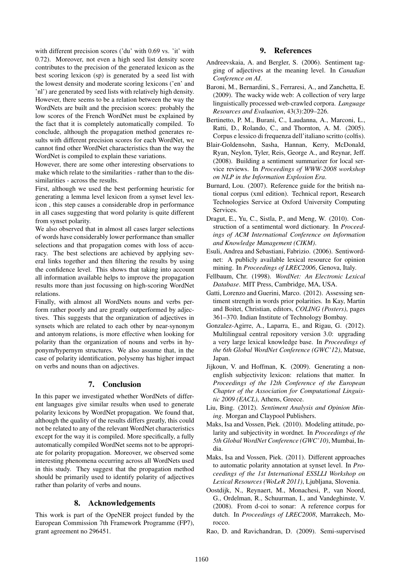with different precision scores ('du' with 0.69 vs. 'it' with 0.72). Moreover, not even a high seed list density score contributes to the precision of the generated lexicon as the best scoring lexicon (sp) is generated by a seed list with the lowest density and moderate scoring lexicons ('en' and 'nl') are generated by seed lists with relatively high density. However, there seems to be a relation between the way the WordNets are built and the precision scores: probably the low scores of the French WordNet must be explained by the fact that it is completely automatically compiled. To conclude, although the propagation method generates results with different precision scores for each WordNet, we cannot find other WordNet characteristics than the way the WordNet is compiled to explain these variations.

However, there are some other interesting observations to make which relate to the similarities - rather than to the dissimilarities - across the results.

First, although we used the best performing heuristic for generating a lemma level lexicon from a synset level lexicon , this step causes a considerable drop in performance in all cases suggesting that word polarity is quite different from synset polarity.

We also observed that in almost all cases larger selections of words have considerably lower performance than smaller selections and that propagation comes with loss of accuracy. The best selections are achieved by applying several links together and then filtering the results by using the confidence level. This shows that taking into account all information available helps to improve the propagation results more than just focussing on high-scoring WordNet relations.

Finally, with almost all WordNets nouns and verbs perform rather poorly and are greatly outperformed by adjectives. This suggests that the organization of adjectives in synsets which are related to each other by near-synonym and antonym relations, is more effective when looking for polarity than the organization of nouns and verbs in hyponym/hypernym structures. We also assume that, in the case of polarity identification, polysemy has higher impact on verbs and nouns than on adjectives.

## 7. Conclusion

In this paper we investigated whether WordNets of different languages give similar results when used to generate polarity lexicons by WordNet propagation. We found that, although the quality of the results differs greatly, this could not be related to any of the relevant WordNet characteristics except for the way it is compiled. More specifically, a fully automatically compiled WordNet seems not to be appropriate for polarity propagation. Moreover, we observed some interesting phenomena occurring across all WordNets used in this study. They suggest that the propagation method should be primarily used to identify polarity of adjectives rather than polarity of verbs and nouns.

## 8. Acknowledgements

This work is part of the OpeNER project funded by the European Commission 7th Framework Programme (FP7), grant agreement no 296451.

## 9. References

- Andreevskaia, A. and Bergler, S. (2006). Sentiment tagging of adjectives at the meaning level. In *Canadian Conference on AI*.
- Baroni, M., Bernardini, S., Ferraresi, A., and Zanchetta, E. (2009). The wacky wide web: A collection of very large linguistically processed web-crawled corpora. *Language Resources and Evaluation*, 43(3):209–226.
- Bertinetto, P. M., Burani, C., Laudanna, A., Marconi, L., Ratti, D., Rolando, C., and Thornton, A. M. (2005). Corpus e lessico di frequenza dell'italiano scritto (colfis).
- Blair-Goldensohn, Sasha, Hannan, Kerry, McDonald, Ryan, Neylon, Tyler, Reis, George A., and Reynar, Jeff. (2008). Building a sentiment summarizer for local service reviews. In *Proceedings of WWW-2008 workshop on NLP in the Information Explosion Era*.
- Burnard, Lou. (2007). Reference guide for the british national corpus (xml edition). Technical report, Research Technologies Service at Oxford University Computing Services.
- Dragut, E., Yu, C., Sistla, P., and Meng, W. (2010). Construction of a sentimental word dictionary. In *Proceedings of ACM International Conference on Information and Knowledge Management (CIKM)*.
- Esuli, Andrea and Sebastiani, Fabrizio. (2006). Sentiwordnet: A publicly available lexical resource for opinion mining. In *Proceedings of LREC2006*, Genova, Italy.
- Fellbaum, Chr. (1998). *WordNet: An Electronic Lexical Database*. MIT Press, Cambridge, MA, USA.
- Gatti, Lorenzo and Guerini, Marco. (2012). Assessing sentiment strength in words prior polarities. In Kay, Martin and Boitet, Christian, editors, *COLING (Posters)*, pages 361–370. Indian Institute of Technology Bombay.
- Gonzalez-Agirre, A., Laparra, E., and Rigau, G. (2012). Multilingual central repository version 3.0: upgrading a very large lexical knowledge base. In *Proceedings of the 6th Global WordNet Conference (GWC'12)*, Matsue, Japan.
- Jijkoun, V. and Hoffman, K. (2009). Generating a nonenglish subjectivity lexicon: relations that matter. In *Proceedings of the 12th Conference of the European Chapter of the Association for Computational Linguistic 2009 (EACL)*, Athens, Greece.
- Liu, Bing. (2012). *Sentiment Analysis and Opinion Mining*. Morgan and Claypool Publishers.
- Maks, Isa and Vossen, Piek. (2010). Modeling attitude, polarity and subjectivity in wordnet. In *Proceedings of the 5th Global WordNet Conference (GWC'10)*, Mumbai, India.
- Maks, Isa and Vossen, Piek. (2011). Different approaches to automatic polarity annotation at synset level. In *Proceedings of the 1st International ESSLLI Workshop on Lexical Resources (WoLeR 2011)*, Ljubljana, Slovenia.
- Oostdijk, N., Reynaert, M., Monachesi, P., van Noord, G., Ordelman, R., Schuurman, I., and Vandeghinste, V. (2008). From d-coi to sonar: A reference corpus for dutch. In *Proceedings of LREC2008*, Marrakech, Morocco.
- Rao, D. and Ravichandran, D. (2009). Semi-supervised